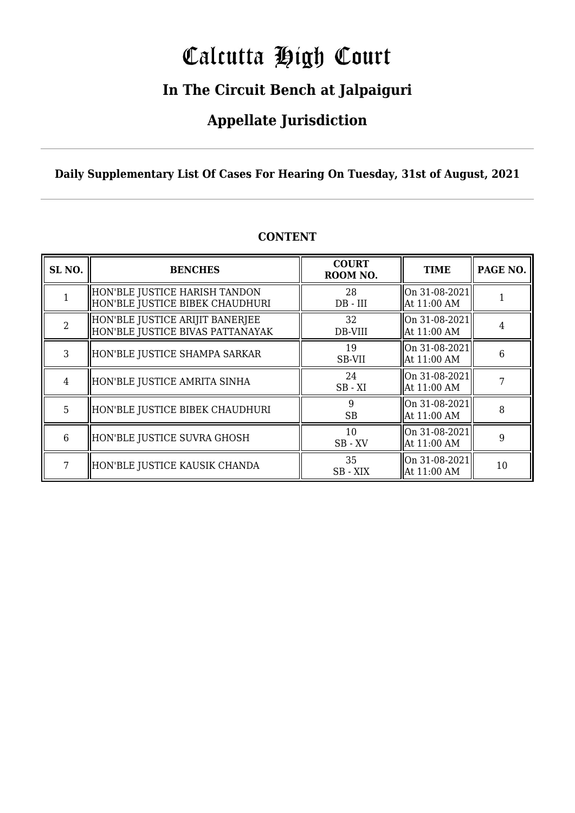# Calcutta High Court

### **In The Circuit Bench at Jalpaiguri**

### **Appellate Jurisdiction**

**Daily Supplementary List Of Cases For Hearing On Tuesday, 31st of August, 2021**

| SL <sub>NO.</sub> | <b>BENCHES</b>                                                      | <b>COURT</b><br>ROOM NO. | <b>TIME</b>                      | PAGE NO. |
|-------------------|---------------------------------------------------------------------|--------------------------|----------------------------------|----------|
|                   | HON'BLE JUSTICE HARISH TANDON<br>HON'BLE JUSTICE BIBEK CHAUDHURI    | 28<br>$DB$ - $III$       | On 31-08-2021<br>At 11:00 AM     |          |
| っ                 | HON'BLE JUSTICE ARIJIT BANERJEE<br>HON'BLE JUSTICE BIVAS PATTANAYAK | 32<br>DB-VIII            | On 31-08-2021<br>At 11:00 AM     | 4        |
| 3                 | HON'BLE JUSTICE SHAMPA SARKAR                                       | 19<br>SB-VII             | $ On 31-08-2021 $<br>At 11:00 AM | 6        |
| 4                 | HON'BLE JUSTICE AMRITA SINHA                                        | 24<br>$SB - XI$          | On 31-08-2021<br>At 11:00 AM     |          |
| 5                 | HON'BLE JUSTICE BIBEK CHAUDHURI                                     | 9<br><b>SB</b>           | On 31-08-2021<br>At 11:00 AM     | 8        |
| 6                 | HON'BLE JUSTICE SUVRA GHOSH                                         | 10<br>$SB$ - $XV$        | On 31-08-2021<br>At 11:00 AM     | 9        |
| 7                 | HON'BLE JUSTICE KAUSIK CHANDA                                       | 35<br>SB - XIX           | On 31-08-2021<br>At 11:00 AM     | 10       |

#### **CONTENT**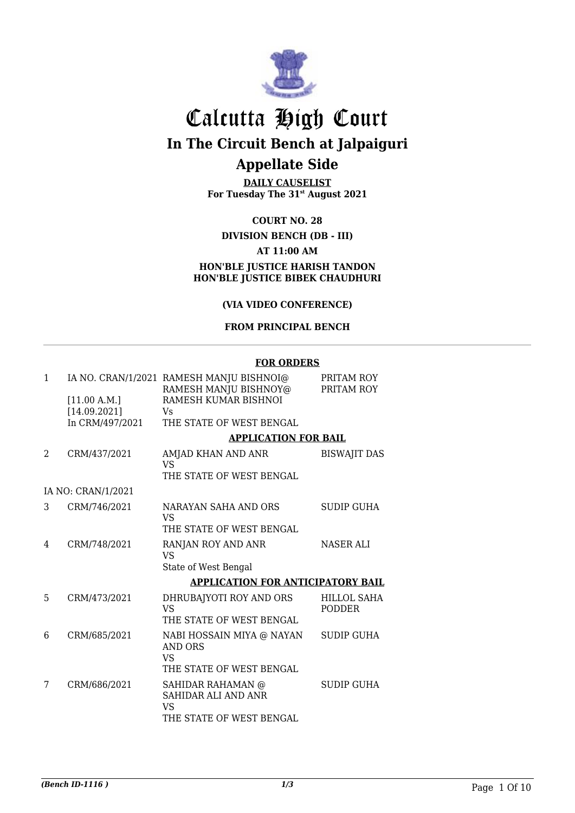

# Calcutta High Court

**In The Circuit Bench at Jalpaiguri**

### **Appellate Side**

**DAILY CAUSELIST For Tuesday The 31st August 2021**

#### **COURT NO. 28**

#### **DIVISION BENCH (DB - III) AT 11:00 AM HON'BLE JUSTICE HARISH TANDON HON'BLE JUSTICE BIBEK CHAUDHURI**

#### **(VIA VIDEO CONFERENCE)**

#### **FROM PRINCIPAL BENCH**

#### **FOR ORDERS**

| 1 | [11.00 A.M.]<br>[14.09.2021]<br>In CRM/497/2021 | IA NO. CRAN/1/2021 RAMESH MANJU BISHNOI@<br>RAMESH MANJU BISHNOY@<br>RAMESH KUMAR BISHNOI<br>Vs.<br>THE STATE OF WEST BENGAL | PRITAM ROY<br>PRITAM ROY     |
|---|-------------------------------------------------|------------------------------------------------------------------------------------------------------------------------------|------------------------------|
|   |                                                 | <b>APPLICATION FOR BAIL</b>                                                                                                  |                              |
| 2 | CRM/437/2021                                    | AMJAD KHAN AND ANR<br><b>VS</b>                                                                                              | <b>BISWAJIT DAS</b>          |
|   |                                                 | THE STATE OF WEST BENGAL                                                                                                     |                              |
|   | IA NO: CRAN/1/2021                              |                                                                                                                              |                              |
| 3 | CRM/746/2021                                    | NARAYAN SAHA AND ORS<br>VS.<br>THE STATE OF WEST BENGAL                                                                      | <b>SUDIP GUHA</b>            |
| 4 | CRM/748/2021                                    | RANJAN ROY AND ANR<br>VS                                                                                                     | <b>NASER ALI</b>             |
|   |                                                 | State of West Bengal                                                                                                         |                              |
|   |                                                 | APPLICATION FOR ANTICIPATORY BAIL                                                                                            |                              |
| 5 | CRM/473/2021                                    | DHRUBAJYOTI ROY AND ORS<br><b>VS</b><br>THE STATE OF WEST BENGAL                                                             | HILLOL SAHA<br><b>PODDER</b> |
| 6 | CRM/685/2021                                    | NABI HOSSAIN MIYA @ NAYAN<br><b>AND ORS</b><br>VS.                                                                           | <b>SUDIP GUHA</b>            |
|   |                                                 | THE STATE OF WEST BENGAL                                                                                                     |                              |
| 7 | CRM/686/2021                                    | SAHIDAR RAHAMAN @<br>SAHIDAR ALI AND ANR<br>VS<br>THE STATE OF WEST BENGAL                                                   | <b>SUDIP GUHA</b>            |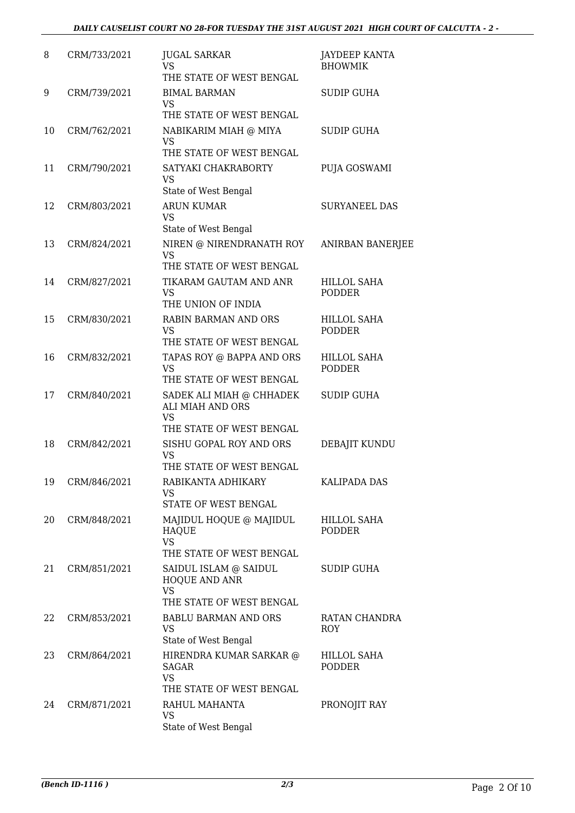| 8  | CRM/733/2021 | <b>JUGAL SARKAR</b><br>VS<br>THE STATE OF WEST BENGAL                                 | JAYDEEP KANTA<br><b>BHOWMIK</b>     |
|----|--------------|---------------------------------------------------------------------------------------|-------------------------------------|
| 9  | CRM/739/2021 | <b>BIMAL BARMAN</b><br><b>VS</b><br>THE STATE OF WEST BENGAL                          | <b>SUDIP GUHA</b>                   |
| 10 | CRM/762/2021 | NABIKARIM MIAH @ MIYA<br><b>VS</b><br>THE STATE OF WEST BENGAL                        | <b>SUDIP GUHA</b>                   |
| 11 | CRM/790/2021 | SATYAKI CHAKRABORTY<br>VS<br>State of West Bengal                                     | PUJA GOSWAMI                        |
| 12 | CRM/803/2021 | <b>ARUN KUMAR</b><br>VS<br>State of West Bengal                                       | <b>SURYANEEL DAS</b>                |
| 13 | CRM/824/2021 | NIREN @ NIRENDRANATH ROY<br><b>VS</b><br>THE STATE OF WEST BENGAL                     | <b>ANIRBAN BANERJEE</b>             |
| 14 | CRM/827/2021 | TIKARAM GAUTAM AND ANR<br><b>VS</b><br>THE UNION OF INDIA                             | HILLOL SAHA<br><b>PODDER</b>        |
| 15 | CRM/830/2021 | <b>RABIN BARMAN AND ORS</b><br>VS<br>THE STATE OF WEST BENGAL                         | <b>HILLOL SAHA</b><br>PODDER        |
| 16 | CRM/832/2021 | TAPAS ROY @ BAPPA AND ORS<br>VS<br>THE STATE OF WEST BENGAL                           | <b>HILLOL SAHA</b><br><b>PODDER</b> |
| 17 | CRM/840/2021 | SADEK ALI MIAH @ CHHADEK<br>ALI MIAH AND ORS<br>VS                                    | <b>SUDIP GUHA</b>                   |
| 18 | CRM/842/2021 | THE STATE OF WEST BENGAL<br>SISHU GOPAL ROY AND ORS<br>VS<br>THE STATE OF WEST BENGAL | DEBAJIT KUNDU                       |
| 19 | CRM/846/2021 | RABIKANTA ADHIKARY<br>VS<br>STATE OF WEST BENGAL                                      | <b>KALIPADA DAS</b>                 |
| 20 | CRM/848/2021 | MAJIDUL HOQUE @ MAJIDUL<br><b>HAQUE</b><br><b>VS</b><br>THE STATE OF WEST BENGAL      | HILLOL SAHA<br><b>PODDER</b>        |
| 21 | CRM/851/2021 | SAIDUL ISLAM @ SAIDUL<br><b>HOQUE AND ANR</b><br>VS                                   | SUDIP GUHA                          |
| 22 | CRM/853/2021 | THE STATE OF WEST BENGAL<br><b>BABLU BARMAN AND ORS</b><br>VS<br>State of West Bengal | RATAN CHANDRA<br>ROY                |
| 23 | CRM/864/2021 | HIRENDRA KUMAR SARKAR @<br>SAGAR<br><b>VS</b>                                         | <b>HILLOL SAHA</b><br><b>PODDER</b> |
| 24 | CRM/871/2021 | THE STATE OF WEST BENGAL<br>RAHUL MAHANTA<br><b>VS</b><br>State of West Bengal        | PRONOJIT RAY                        |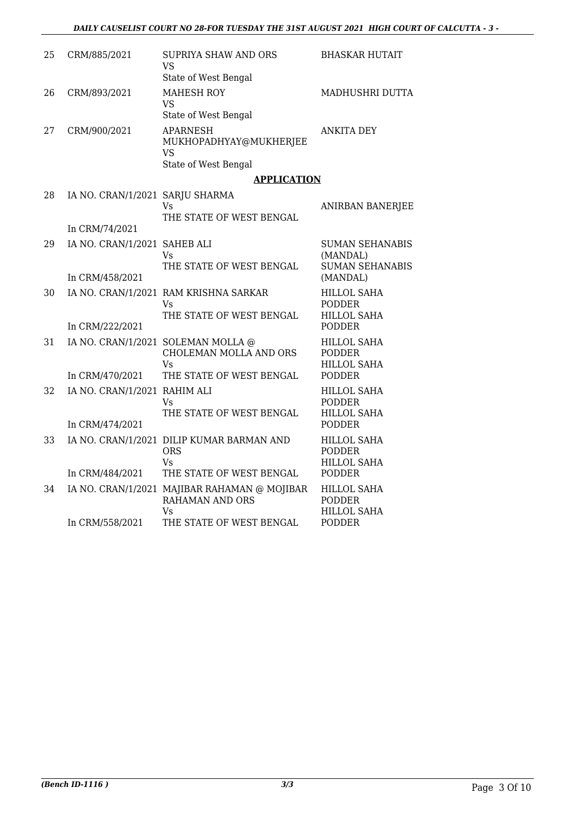| 25 | CRM/885/2021                                      | SUPRIYA SHAW AND ORS<br>VS<br>State of West Bengal                                             | BHASKAR HUTAIT                                                             |
|----|---------------------------------------------------|------------------------------------------------------------------------------------------------|----------------------------------------------------------------------------|
| 26 | CRM/893/2021                                      | <b>MAHESH ROY</b><br><b>VS</b><br>State of West Bengal                                         | MADHUSHRI DUTTA                                                            |
| 27 | CRM/900/2021                                      | <b>APARNESH</b><br>MUKHOPADHYAY@MUKHERJEE<br><b>VS</b><br>State of West Bengal                 | <b>ANKITA DEY</b>                                                          |
|    |                                                   | <b>APPLICATION</b>                                                                             |                                                                            |
| 28 | IA NO. CRAN/1/2021 SARJU SHARMA<br>In CRM/74/2021 | Vs<br>THE STATE OF WEST BENGAL                                                                 | <b>ANIRBAN BANERJEE</b>                                                    |
| 29 | IA NO. CRAN/1/2021 SAHEB ALI                      | Vs.<br>THE STATE OF WEST BENGAL                                                                | <b>SUMAN SEHANABIS</b><br>(MANDAL)<br><b>SUMAN SEHANABIS</b>               |
|    | In CRM/458/2021                                   |                                                                                                | (MANDAL)                                                                   |
| 30 | In CRM/222/2021                                   | IA NO. CRAN/1/2021 RAM KRISHNA SARKAR<br>Vs<br>THE STATE OF WEST BENGAL                        | <b>HILLOL SAHA</b><br><b>PODDER</b><br><b>HILLOL SAHA</b><br><b>PODDER</b> |
| 31 | In CRM/470/2021                                   | IA NO. CRAN/1/2021 SOLEMAN MOLLA @<br>CHOLEMAN MOLLA AND ORS<br>Vs<br>THE STATE OF WEST BENGAL | <b>HILLOL SAHA</b><br><b>PODDER</b><br><b>HILLOL SAHA</b><br><b>PODDER</b> |
| 32 | IA NO. CRAN/1/2021 RAHIM ALI                      | Vs<br>THE STATE OF WEST BENGAL                                                                 | <b>HILLOL SAHA</b><br><b>PODDER</b><br><b>HILLOL SAHA</b><br><b>PODDER</b> |
| 33 | In CRM/474/2021<br>In CRM/484/2021                | IA NO. CRAN/1/2021 DILIP KUMAR BARMAN AND<br><b>ORS</b><br>Vs<br>THE STATE OF WEST BENGAL      | <b>HILLOL SAHA</b><br><b>PODDER</b><br><b>HILLOL SAHA</b><br><b>PODDER</b> |
| 34 |                                                   | IA NO. CRAN/1/2021 MAJIBAR RAHAMAN @ MOJIBAR<br><b>RAHAMAN AND ORS</b><br>Vs                   | <b>HILLOL SAHA</b><br><b>PODDER</b><br><b>HILLOL SAHA</b>                  |
|    | In CRM/558/2021                                   | THE STATE OF WEST BENGAL                                                                       | <b>PODDER</b>                                                              |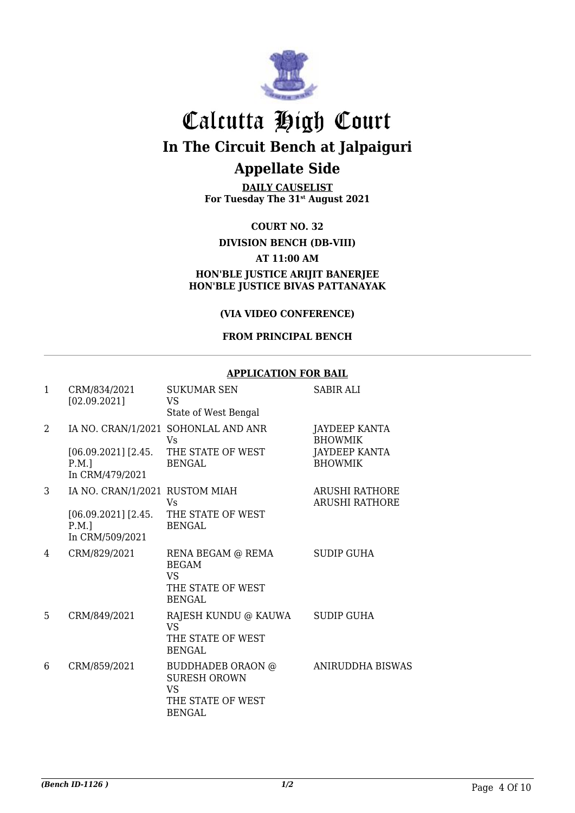

**DAILY CAUSELIST For Tuesday The 31st August 2021**

**COURT NO. 32**

#### **DIVISION BENCH (DB-VIII)**

#### **AT 11:00 AM**

#### **HON'BLE JUSTICE ARIJIT BANERJEE HON'BLE JUSTICE BIVAS PATTANAYAK**

#### **(VIA VIDEO CONFERENCE)**

#### **FROM PRINCIPAL BENCH**

#### **APPLICATION FOR BAIL**

| $\mathbf{1}$ | CRM/834/2021<br>[02.09.2021]                                                           | <b>SUKUMAR SEN</b><br><b>VS</b><br>State of West Bengal                                     | <b>SABIR ALI</b>                                                          |
|--------------|----------------------------------------------------------------------------------------|---------------------------------------------------------------------------------------------|---------------------------------------------------------------------------|
| 2            | $[06.09.2021]$ [2.45.<br>$P.M.$ ]<br>In CRM/479/2021                                   | IA NO. CRAN/1/2021 SOHONLAL AND ANR<br>Vs<br>THE STATE OF WEST<br><b>BENGAL</b>             | JAYDEEP KANTA<br><b>BHOWMIK</b><br><b>JAYDEEP KANTA</b><br><b>BHOWMIK</b> |
| 3            | IA NO. CRAN/1/2021 RUSTOM MIAH<br>$[06.09.2021]$ [2.45.<br>$P.M.$ ]<br>In CRM/509/2021 | Vs<br>THE STATE OF WEST<br><b>BENGAL</b>                                                    | <b>ARUSHI RATHORE</b><br><b>ARUSHI RATHORE</b>                            |
| 4            | CRM/829/2021                                                                           | RENA BEGAM @ REMA<br><b>BEGAM</b><br>VS.<br>THE STATE OF WEST<br><b>BENGAL</b>              | <b>SUDIP GUHA</b>                                                         |
| 5            | CRM/849/2021                                                                           | RAJESH KUNDU @ KAUWA<br>VS<br>THE STATE OF WEST<br><b>BENGAL</b>                            | <b>SUDIP GUHA</b>                                                         |
| 6            | CRM/859/2021                                                                           | BUDDHADEB ORAON @<br><b>SURESH OROWN</b><br><b>VS</b><br>THE STATE OF WEST<br><b>BENGAL</b> | <b>ANIRUDDHA BISWAS</b>                                                   |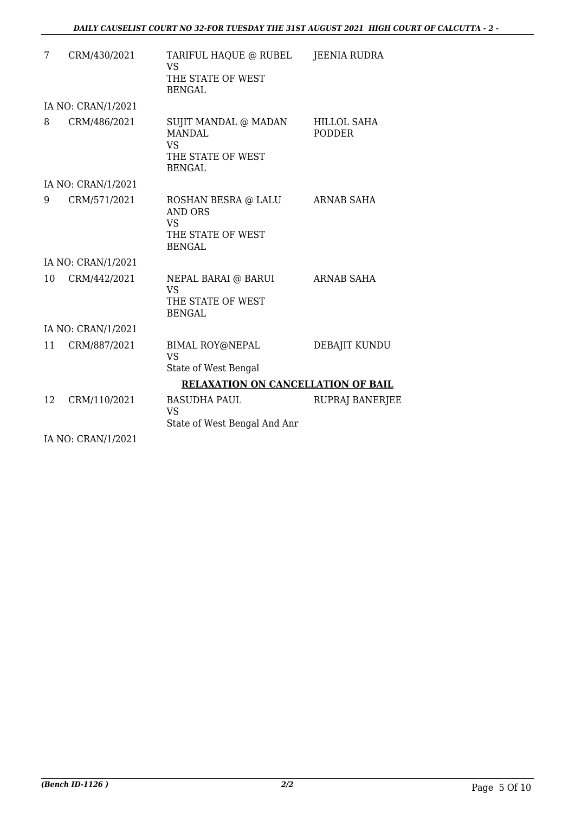| 7  | CRM/430/2021                   | TARIFUL HAQUE @ RUBEL<br><b>VS</b><br>THE STATE OF WEST<br><b>BENGAL</b>                 | JEENIA RUDRA                        |
|----|--------------------------------|------------------------------------------------------------------------------------------|-------------------------------------|
|    | IA NO: CRAN/1/2021             |                                                                                          |                                     |
| 8  | CRM/486/2021                   | SUJIT MANDAL @ MADAN<br><b>MANDAL</b><br><b>VS</b><br>THE STATE OF WEST<br><b>BENGAL</b> | <b>HILLOL SAHA</b><br><b>PODDER</b> |
|    | IA NO: CRAN/1/2021             |                                                                                          |                                     |
| 9  | CRM/571/2021                   | ROSHAN BESRA @ LALU<br><b>AND ORS</b><br><b>VS</b><br>THE STATE OF WEST<br><b>BENGAL</b> | ARNAB SAHA                          |
|    | IA NO: CRAN/1/2021             |                                                                                          |                                     |
| 10 | CRM/442/2021                   | NEPAL BARAI @ BARUI<br><b>VS</b><br>THE STATE OF WEST<br><b>BENGAL</b>                   | <b>ARNAB SAHA</b>                   |
|    | IA NO: CRAN/1/2021             |                                                                                          |                                     |
| 11 | CRM/887/2021                   | BIMAL ROY@NEPAL<br><b>VS</b><br>State of West Bengal                                     | DEBAJIT KUNDU                       |
|    |                                | <b>RELAXATION ON CANCELLATION OF BAIL</b>                                                |                                     |
| 12 | CRM/110/2021                   | <b>BASUDHA PAUL</b><br><b>VS</b><br>State of West Bengal And Anr                         | <b>RUPRAJ BANERJEE</b>              |
|    | $IA$ $N0$ , $CD$ $AN11$ $D021$ |                                                                                          |                                     |

IA NO: CRAN/1/2021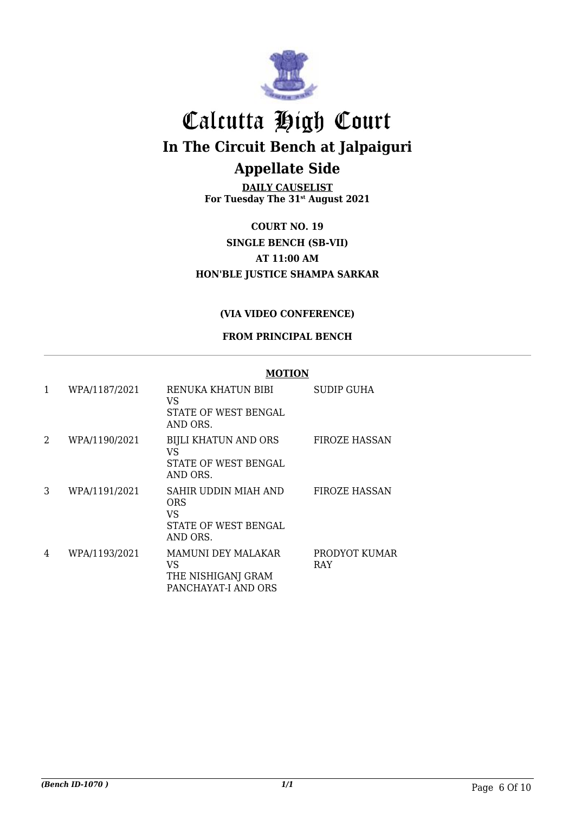

**DAILY CAUSELIST For Tuesday The 31st August 2021**

**COURT NO. 19 SINGLE BENCH (SB-VII) AT 11:00 AM HON'BLE JUSTICE SHAMPA SARKAR**

#### **(VIA VIDEO CONFERENCE)**

#### **FROM PRINCIPAL BENCH**

|   |               | <b>MOTION</b>                                                         |                             |
|---|---------------|-----------------------------------------------------------------------|-----------------------------|
| 1 | WPA/1187/2021 | RENUKA KHATUN BIBI<br>VS<br>STATE OF WEST BENGAL<br>AND ORS.          | SUDIP GUHA                  |
| 2 | WPA/1190/2021 | BIJLI KHATUN AND ORS<br>VS<br>STATE OF WEST BENGAL<br>AND ORS.        | <b>FIROZE HASSAN</b>        |
| 3 | WPA/1191/2021 | SAHIR UDDIN MIAH AND<br>ORS<br>VS<br>STATE OF WEST BENGAL<br>AND ORS. | <b>FIROZE HASSAN</b>        |
| 4 | WPA/1193/2021 | MAMUNI DEY MALAKAR<br>VS<br>THE NISHIGANJ GRAM<br>PANCHAYAT-I AND ORS | PRODYOT KUMAR<br><b>RAY</b> |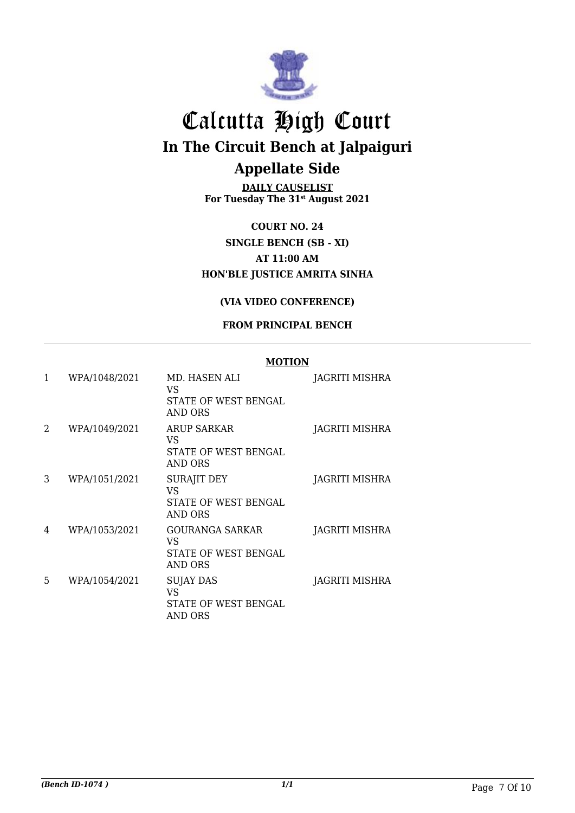

**DAILY CAUSELIST For Tuesday The 31st August 2021**

**COURT NO. 24 SINGLE BENCH (SB - XI) AT 11:00 AM HON'BLE JUSTICE AMRITA SINHA**

#### **(VIA VIDEO CONFERENCE)**

#### **FROM PRINCIPAL BENCH**

#### **MOTION**

| 1 | WPA/1048/2021 | MD. HASEN ALI<br>VS<br><b>STATE OF WEST BENGAL</b><br>AND ORS | JAGRITI MISHRA |
|---|---------------|---------------------------------------------------------------|----------------|
| 2 | WPA/1049/2021 | ARUP SARKAR<br>VS<br>STATE OF WEST BENGAL<br>AND ORS          | JAGRITI MISHRA |
| 3 | WPA/1051/2021 | <b>SURAJIT DEY</b><br>VS<br>STATE OF WEST BENGAL<br>AND ORS   | JAGRITI MISHRA |
| 4 | WPA/1053/2021 | GOURANGA SARKAR<br>VS<br>STATE OF WEST BENGAL<br>AND ORS      | JAGRITI MISHRA |
| 5 | WPA/1054/2021 | SUJAY DAS<br><b>VS</b><br>STATE OF WEST BENGAL<br>AND ORS     | JAGRITI MISHRA |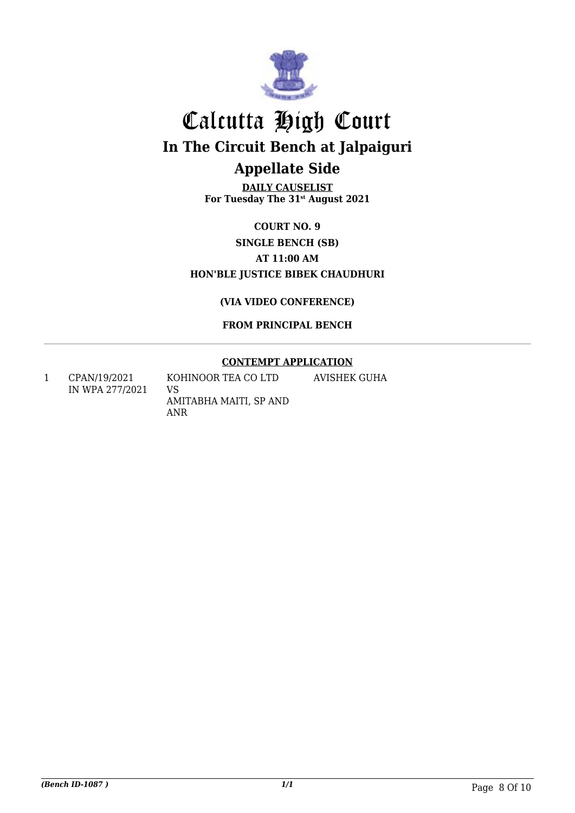

**DAILY CAUSELIST For Tuesday The 31st August 2021**

### **COURT NO. 9 SINGLE BENCH (SB) AT 11:00 AM HON'BLE JUSTICE BIBEK CHAUDHURI**

**(VIA VIDEO CONFERENCE)**

**FROM PRINCIPAL BENCH**

#### **CONTEMPT APPLICATION**

1 CPAN/19/2021 IN WPA 277/2021 KOHINOOR TEA CO LTD VS AMITABHA MAITI, SP AND ANR AVISHEK GUHA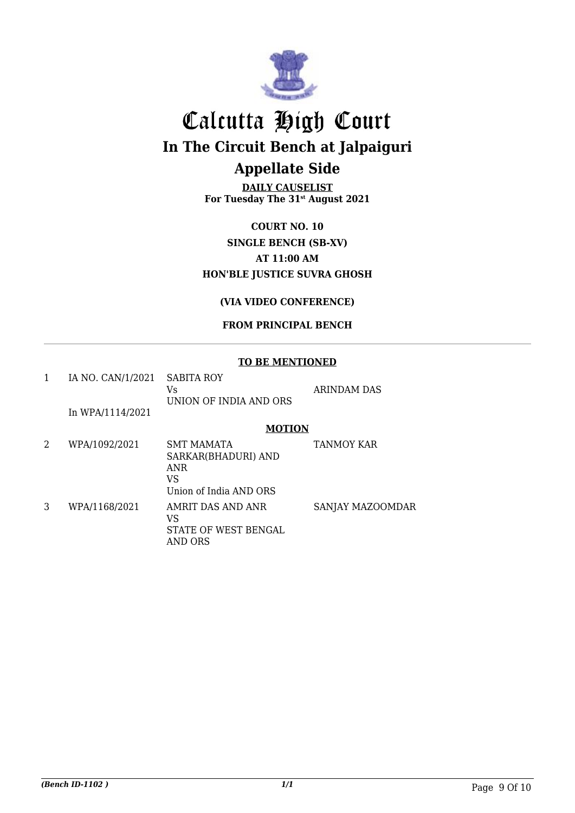

**DAILY CAUSELIST For Tuesday The 31st August 2021**

### **COURT NO. 10 SINGLE BENCH (SB-XV) AT 11:00 AM HON'BLE JUSTICE SUVRA GHOSH**

#### **(VIA VIDEO CONFERENCE)**

#### **FROM PRINCIPAL BENCH**

#### **TO BE MENTIONED**

| 1 | IA NO. CAN/1/2021 | <b>SABITA ROY</b><br>Vs<br>UNION OF INDIA AND ORS                                      | <b>ARINDAM DAS</b> |
|---|-------------------|----------------------------------------------------------------------------------------|--------------------|
|   | In WPA/1114/2021  |                                                                                        |                    |
|   |                   | <b>MOTION</b>                                                                          |                    |
| 2 | WPA/1092/2021     | <b>SMT MAMATA</b><br>SARKAR(BHADURI) AND<br><b>ANR</b><br>VS<br>Union of India AND ORS | <b>TANMOY KAR</b>  |
| 3 | WPA/1168/2021     | AMRIT DAS AND ANR<br>VS<br>STATE OF WEST BENGAL<br>AND ORS                             | SANJAY MAZOOMDAR   |